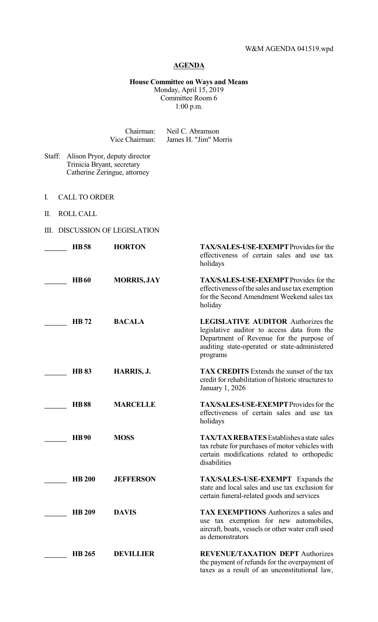## **AGENDA**

## **House Committee on Ways and Means** Monday, April 15, 2019 Committee Room 6 1:00 p.m.

|                                        | Chairman:<br>Vice Chairman: |                                                               | Neil C. Abramson<br>James H. "Jim" Morris                                                                                                                                                         |  |  |
|----------------------------------------|-----------------------------|---------------------------------------------------------------|---------------------------------------------------------------------------------------------------------------------------------------------------------------------------------------------------|--|--|
| Staff:                                 | Trinicia Bryant, secretary  | Alison Pryor, deputy director<br>Catherine Zeringue, attorney |                                                                                                                                                                                                   |  |  |
| I.                                     | <b>CALL TO ORDER</b>        |                                                               |                                                                                                                                                                                                   |  |  |
| Π.                                     | <b>ROLL CALL</b>            |                                                               |                                                                                                                                                                                                   |  |  |
| <b>DISCUSSION OF LEGISLATION</b><br>Ш. |                             |                                                               |                                                                                                                                                                                                   |  |  |
|                                        | <b>HB58</b>                 | <b>HORTON</b>                                                 | <b>TAX/SALES-USE-EXEMPT</b> Provides for the<br>effectiveness of certain sales and use tax<br>holidays                                                                                            |  |  |
|                                        | <b>HB60</b>                 | <b>MORRIS, JAY</b>                                            | <b>TAX/SALES-USE-EXEMPT</b> Provides for the<br>effectiveness of the sales and use tax exemption<br>for the Second Amendment Weekend sales tax<br>holiday                                         |  |  |
|                                        | <b>HB</b> 72                | <b>BACALA</b>                                                 | <b>LEGISLATIVE AUDITOR Authorizes the</b><br>legislative auditor to access data from the<br>Department of Revenue for the purpose of<br>auditing state-operated or state-administered<br>programs |  |  |
|                                        | <b>HB 83</b>                | HARRIS, J.                                                    | <b>TAX CREDITS</b> Extends the sunset of the tax<br>credit for rehabilitation of historic structures to<br>January 1, 2026                                                                        |  |  |
|                                        | <b>HB88</b>                 | <b>MARCELLE</b>                                               | TAX/SALES-USE-EXEMPT Provides for the<br>effectiveness of certain sales and use tax<br>holidays                                                                                                   |  |  |
|                                        | <b>HB90</b>                 | <b>MOSS</b>                                                   | <b>TAX/TAX REBATES</b> Establishes a state sales<br>tax rebate for purchases of motor vehicles with<br>certain modifications related to orthopedic<br>disabilities                                |  |  |
|                                        | <b>HB 200</b>               | <b>JEFFERSON</b>                                              | <b>TAX/SALES-USE-EXEMPT</b> Expands the<br>state and local sales and use tax exclusion for<br>certain funeral-related goods and services                                                          |  |  |
|                                        | <b>HB 209</b>               | <b>DAVIS</b>                                                  | <b>TAX EXEMPTIONS</b> Authorizes a sales and<br>use tax exemption for new automobiles,<br>aircraft, boats, vessels or other water craft used<br>as demonstrators                                  |  |  |
|                                        | <b>HB 265</b>               | <b>DEVILLIER</b>                                              | <b>REVENUE/TAXATION DEPT Authorizes</b><br>the payment of refunds for the overpayment of<br>taxes as a result of an unconstitutional law,                                                         |  |  |